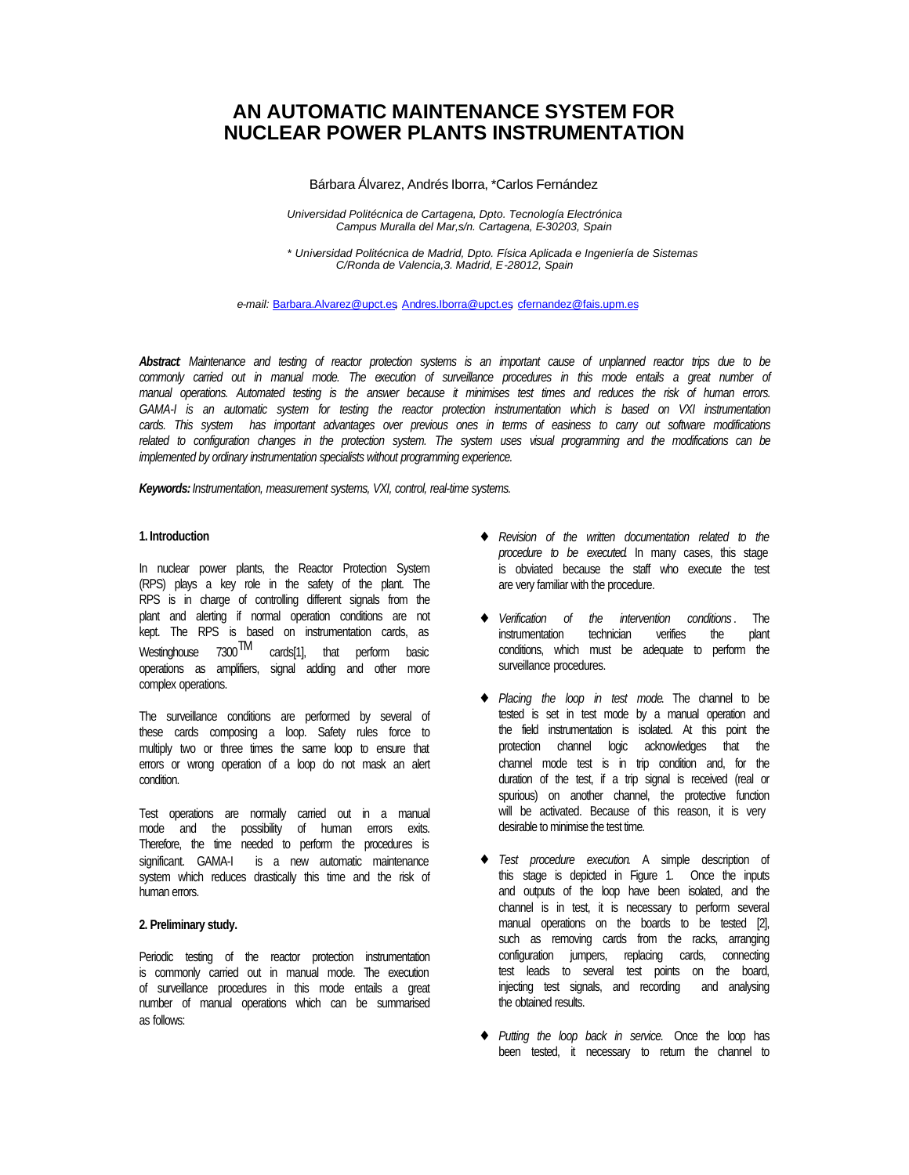# **AN AUTOMATIC MAINTENANCE SYSTEM FOR NUCLEAR POWER PLANTS INSTRUMENTATION**

#### Bárbara Álvarez, Andrés Iborra, \*Carlos Fernández

*Universidad Politécnica de Cartagena, Dpto. Tecnología Electrónica Campus Muralla del Mar,s/n. Cartagena, E-30203, Spain* 

*\* Universidad Politécnica de Madrid, Dpto. Física Aplicada e Ingeniería de Sistemas C/Ronda de Valencia,3. Madrid, E-28012, Spain*

*e-mail:* Barbara.Alvarez@upct.es*,* Andres.Iborra@upct.es*,* cfernandez@fais.upm.es

*Abstract: Maintenance and testing of reactor protection systems is an important cause of unplanned reactor trips due to be commonly carried out in manual mode. The execution of surveillance procedures in this mode entails a great number of manual operations. Automated testing is the answer because it minimises test times and reduces the risk of human errors. GAMA-I is an automatic system for testing the reactor protection instrumentation which is based on VXI instrumentation cards. This system has important advantages over previous ones in terms of easiness to carry out software modifications related to configuration changes in the protection system. The system uses visual programming and the modifications can be implemented by ordinary instrumentation specialists without programming experience.* 

*Keywords: Instrumentation, measurement systems, VXI, control, real-time systems.*

### **1. Introduction**

In nuclear power plants, the Reactor Protection System (RPS) plays a key role in the safety of the plant. The RPS is in charge of controlling different signals from the plant and alerting if normal operation conditions are not kept. The RPS is based on instrumentation cards, as  $W$ estinghouse 7300 $^{TM}$  cards[1], that perform basic operations as amplifiers, signal adding and other more complex operations.

The surveillance conditions are performed by several of these cards composing a loop. Safety rules force to multiply two or three times the same loop to ensure that errors or wrong operation of a loop do not mask an alert condition.

Test operations are normally carried out in a manual mode and the possibility of human errors exits. Therefore, the time needed to perform the procedures is significant. GAMA-I is a new automatic maintenance system which reduces drastically this time and the risk of human errors.

#### **2. Preliminary study.**

Periodic testing of the reactor protection instrumentation is commonly carried out in manual mode. The execution of surveillance procedures in this mode entails a great number of manual operations which can be summarised as follows:

- ♦ *Revision of the written documentation related to the procedure to be executed*. In many cases, this stage is obviated because the staff who execute the test are very familiar with the procedure.
- ♦ *Verification of the intervention conditions* . The instrumentation technician verifies the plant conditions, which must be adequate to perform the surveillance procedures.
- ♦ *Placing the loop in test mode*. The channel to be tested is set in test mode by a manual operation and the field instrumentation is isolated. At this point the protection channel logic acknowledges that the channel mode test is in trip condition and, for the duration of the test, if a trip signal is received (real or spurious) on another channel, the protective function will be activated. Because of this reason, it is very desirable to minimise the test time.
- ♦ *Test procedure execution*. A simple description of this stage is depicted in Figure 1. Once the inputs and outputs of the loop have been isolated, and the channel is in test, it is necessary to perform several manual operations on the boards to be tested [2], such as removing cards from the racks, arranging configuration jumpers, replacing cards, connecting test leads to several test points on the board, injecting test signals, and recording and analysing the obtained results.
- ♦ *Putting the loop back in service.* Once the loop has been tested, it necessary to return the channel to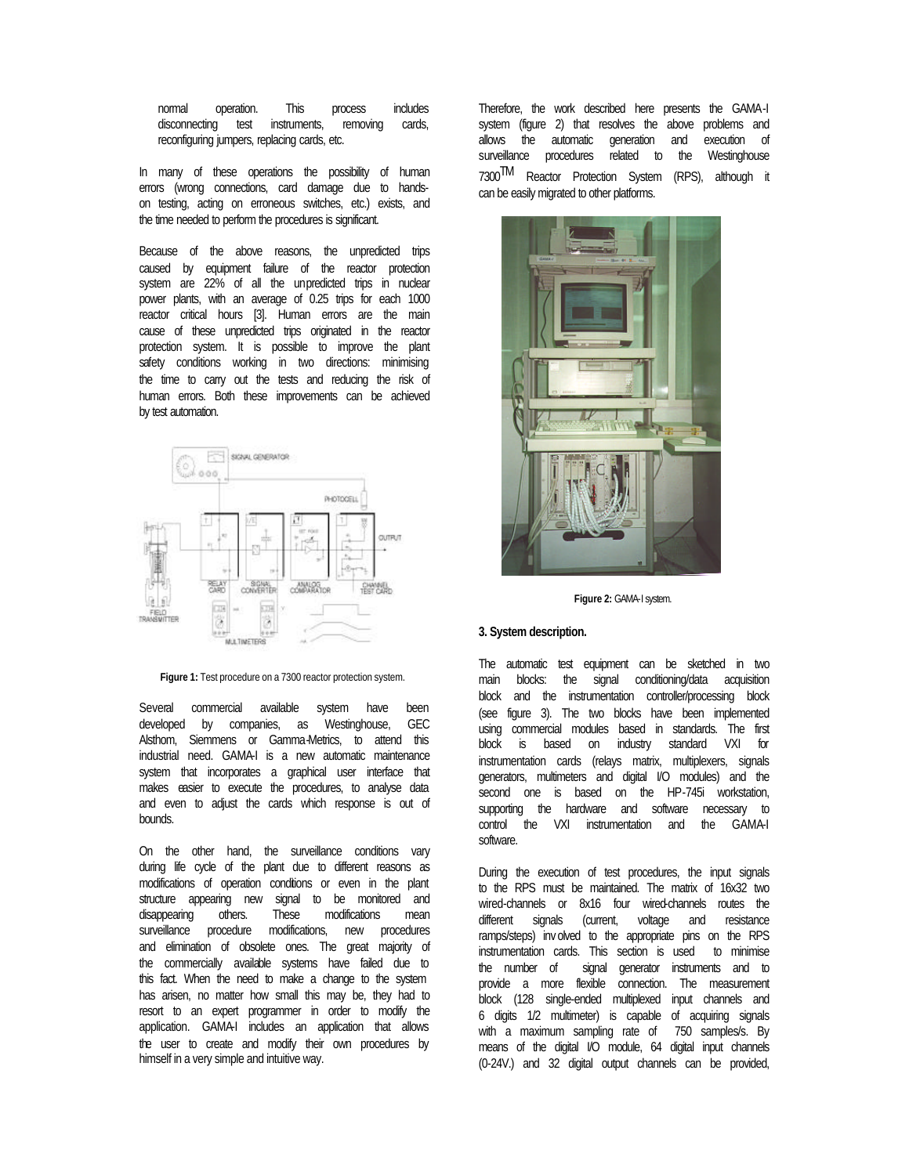normal operation. This process includes disconnecting test instruments, removing cards, reconfiguring jumpers, replacing cards, etc.

In many of these operations the possibility of human errors (wrong connections, card damage due to handson testing, acting on erroneous switches, etc.) exists, and the time needed to perform the procedures is significant.

Because of the above reasons, the unpredicted trips caused by equipment failure of the reactor protection system are 22% of all the unpredicted trips in nuclear power plants, with an average of 0.25 trips for each 1000 reactor critical hours [3]. Human errors are the main cause of these unpredicted trips originated in the reactor protection system. It is possible to improve the plant safety conditions working in two directions: minimising the time to carry out the tests and reducing the risk of human errors. Both these improvements can be achieved by test automation.



**Figure 1:** Test procedure on a 7300 reactor protection system.

Several commercial available system have been developed by companies, as Westinghouse, GEC Alsthom, Siemmens or Gamma-Metrics, to attend this industrial need. GAMA-I is a new automatic maintenance system that incorporates a graphical user interface that makes easier to execute the procedures, to analyse data and even to adjust the cards which response is out of bounds.

On the other hand, the surveillance conditions vary during life cycle of the plant due to different reasons as modifications of operation conditions or even in the plant structure appearing new signal to be monitored and disappearing others. These modifications mean surveillance procedure modifications, new procedures and elimination of obsolete ones. The great majority of the commercially available systems have failed due to this fact. When the need to make a change to the system has arisen, no matter how small this may be, they had to resort to an expert programmer in order to modify the application. GAMA-I includes an application that allows the user to create and modify their own procedures by himself in a very simple and intuitive way.

Therefore, the work described here presents the GAMA-I system (figure 2) that resolves the above problems and allows the automatic generation and execution of surveillance procedures related to the Westinghouse 7300TM Reactor Protection System (RPS), although it can be easily migrated to other platforms.



**Figure 2:** GAMA-I system.

#### **3. System description.**

The automatic test equipment can be sketched in two main blocks: the signal conditioning/data acquisition block and the instrumentation controller/processing block (see figure 3). The two blocks have been implemented using commercial modules based in standards. The first block is based on industry standard VXI for instrumentation cards (relays matrix, multiplexers, signals generators, multimeters and digital I/O modules) and the second one is based on the HP-745i workstation, supporting the hardware and software necessary to control the VXI instrumentation and the GAMA-I software.

During the execution of test procedures, the input signals to the RPS must be maintained. The matrix of 16x32 two wired-channels or 8x16 four wired-channels routes the different signals (current, voltage and resistance ramps/steps) inv olved to the appropriate pins on the RPS instrumentation cards. This section is used to minimise the number of signal generator instruments and to provide a more flexible connection. The measurement block (128 single-ended multiplexed input channels and 6 digits 1/2 multimeter) is capable of acquiring signals with a maximum sampling rate of 750 samples/s. By means of the digital I/O module, 64 digital input channels (0-24V.) and 32 digital output channels can be provided,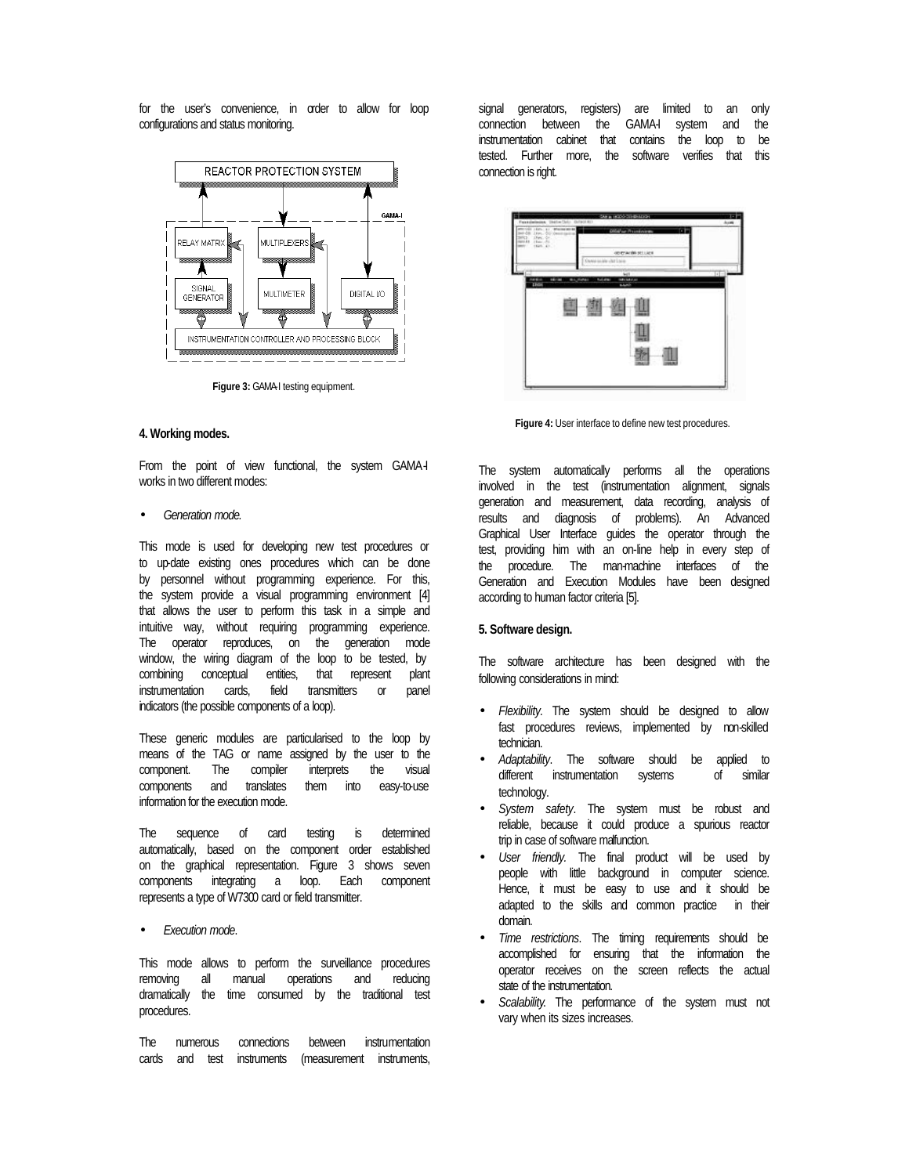for the user's convenience, in order to allow for loop configurations and status monitoring.



Figure 3: GAMAI testing equipment.

#### **4. Working modes.**

From the point of view functional, the system GAMA-I works in two different modes:

• *Generation mode.*

This mode is used for developing new test procedures or to up-date existing ones procedures which can be done by personnel without programming experience. For this, the system provide a visual programming environment [4] that allows the user to perform this task in a simple and intuitive way, without requiring programming experience. The operator reproduces, on the generation mode window, the wiring diagram of the loop to be tested, by combining conceptual entities, that represent plant instrumentation cards, field transmitters or panel indicators (the possible components of a loop).

These generic modules are particularised to the loop by means of the TAG or name assigned by the user to the component. The compiler interprets the visual components and translates them into easy-to-use information for the execution mode.

The sequence of card testing is determined automatically, based on the component order established on the graphical representation. Figure 3 shows seven components integrating a loop. Each component represents a type of W7300 card or field transmitter.

• *Execution mode*.

This mode allows to perform the surveillance procedures removing all manual operations and reducing dramatically the time consumed by the traditional test procedures.

The numerous connections between instrumentation cards and test instruments (measurement instruments,

signal generators, registers) are limited to an only connection between the GAMA-I system and the instrumentation cabinet that contains the loop to be tested. Further more, the software verifies that this connection is right.



**Figure 4:** User interface to define new test procedures.

The system automatically performs all the operations involved in the test (instrumentation alignment, signals generation and measurement, data recording, analysis of results and diagnosis of problems). An Advanced Graphical User Interface guides the operator through the test, providing him with an on-line help in every step of the procedure. The man-machine interfaces of the Generation and Execution Modules have been designed according to human factor criteria [5].

## **5. Software design.**

The software architecture has been designed with the following considerations in mind:

- *Flexibility.* The system should be designed to allow fast procedures reviews, implemented by non-skilled technician.
- *Adaptability*. The software should be applied to different instrumentation systems of similar technology.
- *System safety*. The system must be robust and reliable, because it could produce a spurious reactor trip in case of software malfunction.
- *User friendly.* The final product will be used by people with little background in computer science. Hence, it must be easy to use and it should be adapted to the skills and common practice in their domain.
- *Time restrictions*. The timing requirements should be accomplished for ensuring that the information the operator receives on the screen reflects the actual state of the instrumentation.
- *Scalability*. The performance of the system must not vary when its sizes increases.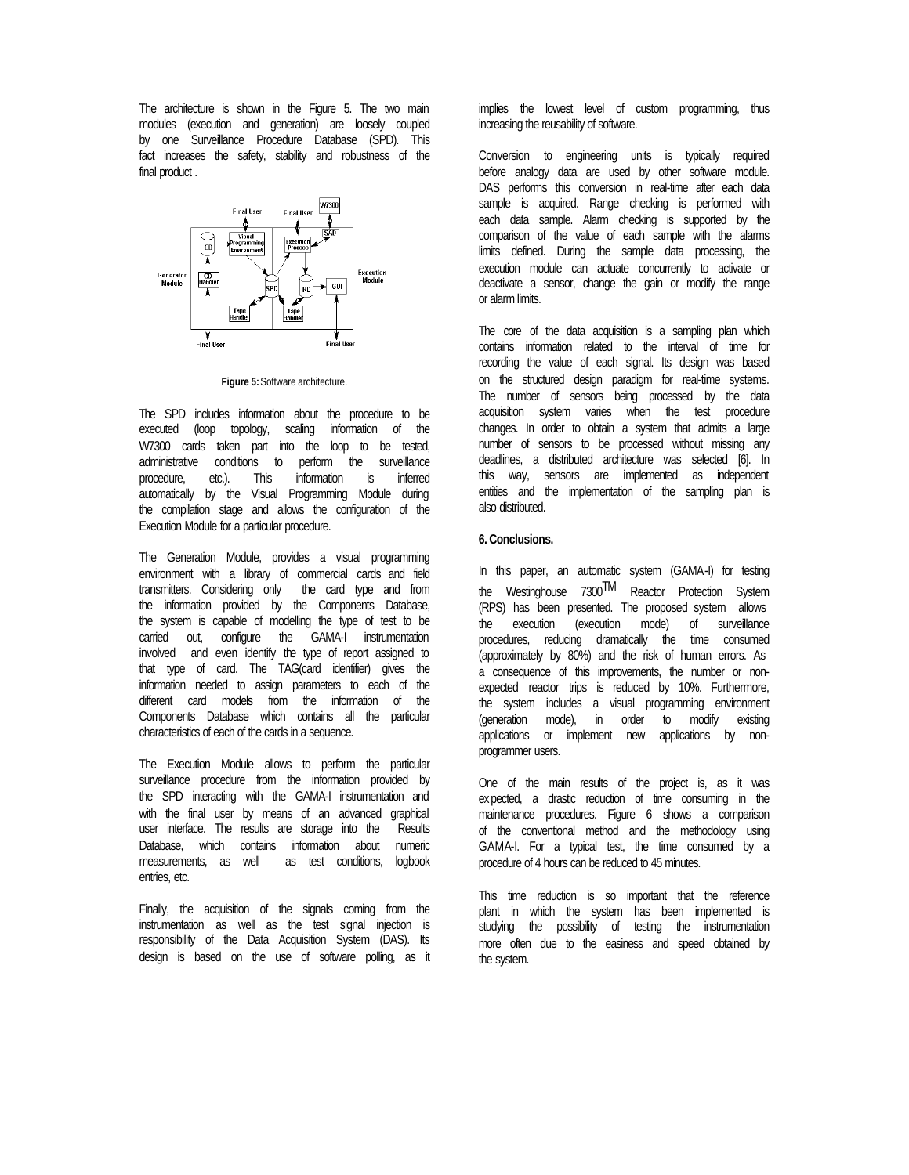The architecture is shown in the Figure 5. The two main modules (execution and generation) are loosely coupled by one Surveillance Procedure Database (SPD). This fact increases the safety, stability and robustness of the final product .



**Figure 5:** Software architecture.

The SPD includes information about the procedure to be executed (loop topology, scaling information of the W7300 cards taken part into the loop to be tested, administrative conditions to perform the surveillance procedure, etc.). This information is inferred automatically by the Visual Programming Module during the compilation stage and allows the configuration of the Execution Module for a particular procedure.

The Generation Module, provides a visual programming environment with a library of commercial cards and field transmitters. Considering only the card type and from the information provided by the Components Database, the system is capable of modelling the type of test to be carried out, configure the GAMA-I instrumentation involved and even identify the type of report assigned to that type of card. The TAG(card identifier) gives the information needed to assign parameters to each of the different card models from the information of the Components Database which contains all the particular characteristics of each of the cards in a sequence.

The Execution Module allows to perform the particular surveillance procedure from the information provided by the SPD interacting with the GAMA-I instrumentation and with the final user by means of an advanced graphical user interface. The results are storage into the Results Database, which contains information about numeric measurements, as well as test conditions, logbook entries, etc.

Finally, the acquisition of the signals coming from the instrumentation as well as the test signal injection is responsibility of the Data Acquisition System (DAS). Its design is based on the use of software polling, as it implies the lowest level of custom programming, thus increasing the reusability of software.

Conversion to engineering units is typically required before analogy data are used by other software module. DAS performs this conversion in real-time after each data sample is acquired. Range checking is performed with each data sample. Alarm checking is supported by the comparison of the value of each sample with the alarms limits defined. During the sample data processing, the execution module can actuate concurrently to activate or deactivate a sensor, change the gain or modify the range or alarm limits.

The core of the data acquisition is a sampling plan which contains information related to the interval of time for recording the value of each signal. Its design was based on the structured design paradigm for real-time systems. The number of sensors being processed by the data acquisition system varies when the test procedure changes. In order to obtain a system that admits a large number of sensors to be processed without missing any deadlines, a distributed architecture was selected [6]. In this way, sensors are implemented as independent entities and the implementation of the sampling plan is also distributed.

## **6. Conclusions.**

In this paper, an automatic system (GAMA-I) for testing the Westinghouse 7300<sup>TM</sup> Reactor Protection System (RPS) has been presented. The proposed system allows the execution (execution mode) of surveillance procedures, reducing dramatically the time consumed (approximately by 80%) and the risk of human errors. As a consequence of this improvements, the number or nonexpected reactor trips is reduced by 10%. Furthermore, the system includes a visual programming environment (generation mode), in order to modify existing applications or implement new applications by nonprogrammer users.

One of the main results of the project is, as it was expected, a drastic reduction of time consuming in the maintenance procedures. Figure 6 shows a comparison of the conventional method and the methodology using GAMA-I. For a typical test, the time consumed by a procedure of 4 hours can be reduced to 45 minutes.

This time reduction is so important that the reference plant in which the system has been implemented is studying the possibility of testing the instrumentation more often due to the easiness and speed obtained by the system.